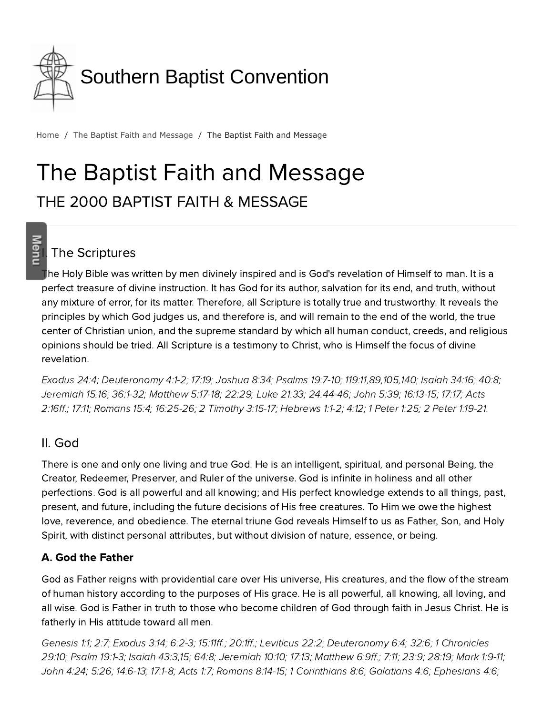

[Home](http://www.sbc.net/) / The Baptist Faith and [Message](http://www.sbc.net/bfm2000/) / The Baptist Faith and Message

# The Baptist Faith and Message THE 2000 BAPTIST FAITH & MESSAGE

Menu

## **The Scriptures**

The Holy Bible was written by men divinely inspired and is God's revelation of Himself to man. It is a perfect treasure of divine instruction. It has God for its author, salvation for its end, and truth, without any mixture of error, for its matter. Therefore, all Scripture is totally true and trustworthy. It reveals the principles by which God judges us, and therefore is, and will remain to the end of the world, the true center of Christian union, and the supreme standard by which all human conduct, creeds, and religious opinions should be tried. All Scripture is a testimony to Christ, who is Himself the focus of divine revelation.

[Exodus](http://biblia.com/bible/hcsb/Exodus%2024.4) 24:4; [Deuteronomy](http://biblia.com/bible/hcsb/Deuteronomy%204.1-2) 4:1-2; [17:19](http://biblia.com/bible/hcsb/Deuteronomy%2017.19); [Joshua](http://biblia.com/bible/hcsb/Joshua%208.34) 8:34; [Psalms](http://biblia.com/bible/hcsb/Psalms%2019.7-10) 19:7-10; [119:11](http://biblia.com/bible/hcsb/Psalms%20119.11)[,89](http://biblia.com/bible/hcsb/Psalms%20119.89)[,105](http://biblia.com/bible/hcsb/Psalms%20119.105)[,140](http://biblia.com/bible/hcsb/Psalms%20119.140); [Isaiah](http://biblia.com/bible/hcsb/Isaiah%2034.16) 34:16; [40:8](http://biblia.com/bible/hcsb/Isaiah%2040.8); [Jeremiah](http://biblia.com/bible/hcsb/Jeremiah%2015.16) 15:16; [36:1-32;](http://biblia.com/bible/hcsb/Jeremiah%2036.1-32) [Matthew](http://biblia.com/bible/hcsb/Matthew%205.17-18) 5:17-18; [22:29;](http://biblia.com/bible/hcsb/Matthew%2022.29) Luke [21:33](http://biblia.com/bible/hcsb/Luke%2021.33); [24:44-46](http://biblia.com/bible/hcsb/Luke%2024.44-46)[;](http://biblia.com/bible/hcsb/Acts%202.16ff) [John](http://biblia.com/bible/hcsb/John%205.39) 5:39; [16:13-15;](http://biblia.com/bible/hcsb/John%2016.13-15) [17:17](http://biblia.com/bible/hcsb/John%2017.17); Acts 2:16ff.; [17:11;](http://biblia.com/bible/hcsb/Acts%2017.11) [Romans](http://biblia.com/bible/hcsb/Romans%2015.4) 15:4; [16:25-26;](http://biblia.com/bible/hcsb/Romans%2016.25-26) 2 [Timothy](http://biblia.com/bible/hcsb/2%20Timothy%203.15-17) 3:15-17; [Hebrews](http://biblia.com/bible/hcsb/Hebrews%201.1-2) 1:1-2; [4:12](http://biblia.com/bible/hcsb/Hebrews%204.12); 1 [Peter](http://biblia.com/bible/hcsb/1%20Peter%201.25) 1:25; 2 Peter [1:19-21.](http://biblia.com/bible/hcsb/2%20Peter%201.19-21)

#### II. God

There is one and only one living and true God. He is an intelligent, spiritual, and personal Being, the Creator, Redeemer, Preserver, and Ruler of the universe. God is infinite in holiness and all other perfections. God is all powerful and all knowing; and His perfect knowledge extends to all things, past, present, and future, including the future decisions of His free creatures. To Him we owe the highest love, reverence, and obedience. The eternal triune God reveals Himself to us as Father, Son, and Holy Spirit, with distinct personal attributes, but without division of nature, essence, or being.

#### A. God the Father

God as Father reigns with providential care over His universe, His creatures, and the flow of the stream of human history according to the purposes of His grace. He is all powerful, all knowing, all loving, and all wise. God is Father in truth to those who become children of God through faith in Jesus Christ. He is fatherly in His attitude toward all men.

[Genesis](http://biblia.com/bible/hcsb/Genesis%201.1) 1:1; [2:7](http://biblia.com/bible/hcsb/Genesis%202.7); [Exodus](http://biblia.com/bible/hcsb/Exodus%203.14) 3:14; [6:2-3;](http://biblia.com/bible/hcsb/Exodus%206.2-3) [15:11ff](http://biblia.com/bible/hcsb/Exodus%2015.11ff).; [20:1ff](http://biblia.com/bible/hcsb/Exodus%2020.1ff).; [Leviticus](http://biblia.com/bible/hcsb/Leviticus%2022.2) 22:2; [D](http://biblia.com/bible/hcsb/1%20Chronicles%2029.10)[euteronomy](http://biblia.com/bible/hcsb/Deuteronomy%206.4) 6:4; [32:6;](http://biblia.com/bible/hcsb/Deuteronomy%2032.6) 1 Chronicles 29:10; [Psalm](http://biblia.com/bible/hcsb/Psalm%2019.1-3) 19:1-3; [Isaiah](http://biblia.com/bible/hcsb/Isaiah%2043.3) 43:3[,15;](http://biblia.com/bible/hcsb/Isaiah%2043.15) [64:8](http://biblia.com/bible/hcsb/Isaiah%2064.8); [Jeremiah](http://biblia.com/bible/hcsb/Jeremiah%2010.10) 10:10; [17:13](http://biblia.com/bible/hcsb/Jeremiah%2017.13); [Matthew](http://biblia.com/bible/hcsb/Matthew%206.9ff) 6:9ff.; [7:11;](http://biblia.com/bible/hcsb/Matthew%207.11) [23:9](http://biblia.com/bible/hcsb/Matthew%2023.9); [28:19](http://biblia.com/bible/hcsb/Matthew%2028.19); [Mark](http://biblia.com/bible/hcsb/Mark%201.9-11) 1:9-11; [John](http://biblia.com/bible/hcsb/John%204.24) 4:24; [5:26](http://biblia.com/bible/hcsb/John%205.26); [14:6-13;](http://biblia.com/bible/hcsb/John%2014.6-13) [17:1-8](http://biblia.com/bible/hcsb/John%2017.1-8); [Acts](http://biblia.com/bible/hcsb/Acts%201.7) 1:7; [Romans](http://biblia.com/bible/hcsb/Romans%208.14-15) 8:14-15; 1 [Corinthians](http://biblia.com/bible/hcsb/1%20Corinthians%208.6) 8:6; [Galatians](http://biblia.com/bible/hcsb/Galatians%204.6) 4:6; [Ephesians](http://biblia.com/bible/hcsb/Ephesians%204.6) 4:6;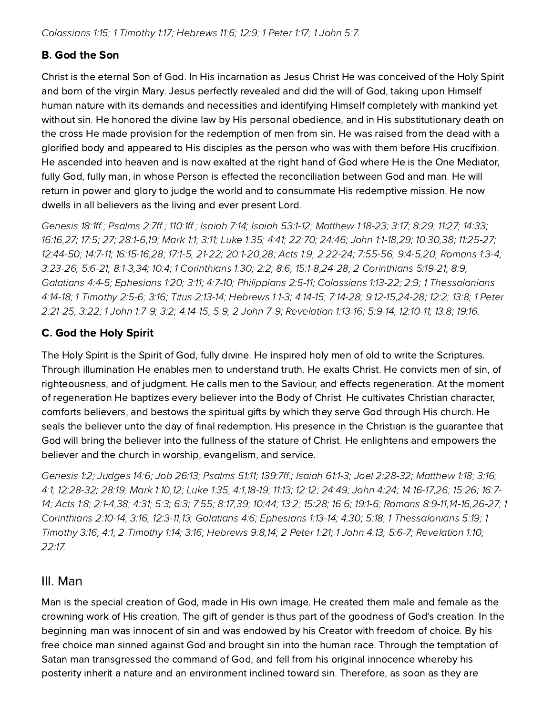#### B. God the Son

Christ is the eternal Son of God. In His incarnation as Jesus Christ He was conceived of the Holy Spirit and born of the virgin Mary. Jesus perfectly revealed and did the will of God, taking upon Himself human nature with its demands and necessities and identifying Himself completely with mankind yet without sin. He honored the divine law by His personal obedience, and in His substitutionary death on the cross He made provision for the redemption of men from sin. He was raised from the dead with a glorified body and appeared to His disciples as the person who was with them before His crucifixion. He ascended into heaven and is now exalted at the right hand of God where He is the One Mediator, fully God, fully man, in whose Person is effected the reconciliation between God and man. He will return in power and glory to judge the world and to consummate His redemptive mission. He now dwells in all believers as the living and ever present Lord.

[Genesis](http://biblia.com/bible/hcsb/Genesis%2018.1ff) 18:1ff.; [Psalms](http://biblia.com/bible/hcsb/Psalms%202.7ff) 2:7ff.; [110:1ff](http://biblia.com/bible/hcsb/Psalms%20110.1ff).; [Isaiah](http://biblia.com/bible/hcsb/Isaiah%207.14) 7:14; Isaiah [53:1-12](http://biblia.com/bible/hcsb/Isaiah%2053.1-12); [Matthew](http://biblia.com/bible/hcsb/Matthew%201.18-23) 1:18-23; [3:17](http://biblia.com/bible/hcsb/Matthew%203.17); [8:29](http://biblia.com/bible/hcsb/Matthew%208.29); [11:27](http://biblia.com/bible/hcsb/Matthew%2011.27); [14:33](http://biblia.com/bible/hcsb/Matthew%2014.33); [16:16](http://biblia.com/bible/hcsb/Matthew%2016.16),[27](http://biblia.com/bible/hcsb/Matthew%2016.27); [17:5](http://biblia.com/bible/hcsb/Matthew%2017.5); [27](http://biblia.com/bible/hcsb/Matthew%2017.27); [28:1-6,](http://biblia.com/bible/hcsb/Matthew%2028.1-6)[19](http://biblia.com/bible/hcsb/Matthew%2028.19); [Mark](http://biblia.com/bible/hcsb/Mark%201.1) 1:1; [3:11](http://biblia.com/bible/hcsb/Mark%203.11); [Luke](http://biblia.com/bible/hcsb/Luke%201.35) 1:35; [4:41;](http://biblia.com/bible/hcsb/Luke%204.41) [22:70](http://biblia.com/bible/hcsb/Luke%2022.70); [24:46](http://biblia.com/bible/hcsb/Luke%2024.46); [John](http://biblia.com/bible/hcsb/John%201.1-18) 1:1-18,[29;](http://biblia.com/bible/hcsb/John%201.29) [10:30](http://biblia.com/bible/hcsb/John%2010.30),[38;](http://biblia.com/bible/hcsb/John%2010.38) [11:25-27](http://biblia.com/bible/hcsb/John%2011.25-27); [12:44-50;](http://biblia.com/bible/hcsb/John%2012.44-50) [14:7-11;](http://biblia.com/bible/hcsb/John%2014.7-11) [16:15-16](http://biblia.com/bible/hcsb/John%2016.15-16),[28](http://biblia.com/bible/hcsb/John%2016.28); [17:1-5](http://biblia.com/bible/hcsb/John%2017.1-5), [21-22;](http://biblia.com/bible/hcsb/John%2017.21-22) [20:1-20,](http://biblia.com/bible/hcsb/John%2020.1-20)[28;](http://biblia.com/bible/hcsb/John%2020.28) [Acts](http://biblia.com/bible/hcsb/Acts%201.9) 1:9; [2:22-24](http://biblia.com/bible/hcsb/Acts%202.22-24); [7:55-56;](http://biblia.com/bible/hcsb/Acts%207.55-56) [9:4-5](http://biblia.com/bible/hcsb/Acts%209.4-5)[,20;](http://biblia.com/bible/hcsb/Acts%209.20) [Romans](http://biblia.com/bible/hcsb/Romans%201.3-4) 1:3-4; [3:23-26;](http://biblia.com/bible/hcsb/Romans%203.23-26) [5:6-21](http://biblia.com/bible/hcsb/Romans%205.6-21); [8:1-3](http://biblia.com/bible/hcsb/Romans%208.1-3)[,34](http://biblia.com/bible/hcsb/Romans%208.34); [10:4;](http://biblia.com/bible/hcsb/Romans%2010.4) 1 [Corinthians](http://biblia.com/bible/hcsb/1%20Corinthians%201.30) 1:30; [2:2](http://biblia.com/bible/hcsb/1%20Corinthians%202.2); [8:6;](http://biblia.com/bible/hcsb/1%20Corinthians%208.6) [15:1-8,](http://biblia.com/bible/hcsb/1%20Corinthians%2015.1-8)[24-28](http://biblia.com/bible/hcsb/1%20Corinthians%2015.24-28); 2 [Corinthians](http://biblia.com/bible/hcsb/2%20Corinthians%205.19-21) 5:19-21; [8:9;](http://biblia.com/bible/hcsb/2%20Corinthians%208.9) [Galatians](http://biblia.com/bible/hcsb/Galatians%204.4-5) 4:4-5; [Ephesians](http://biblia.com/bible/hcsb/Ephesians%201.20) 1:20; [3:11](http://biblia.com/bible/hcsb/Ephesians%203.11); [4:7-10;](http://biblia.com/bible/hcsb/Ephesians%204.7-10) [Philippians](http://biblia.com/bible/hcsb/Philippians%202.5-11) 2:5-11; [Colossians](http://biblia.com/bible/hcsb/Colossians%201.13-22) 1:13-22; [2:9;](http://biblia.com/bible/hcsb/Colossians%202.9) 1 [Thessalonians](http://biblia.com/bible/hcsb/1%20Thessalonians%204.14-18) 4:14-18; 1 [Timothy](http://biblia.com/bible/hcsb/1%20Timothy%202.5-6) 2:5-6; [3:16;](http://biblia.com/bible/hcsb/1%20Timothy%203.16) Titus [2:13-14;](http://biblia.com/bible/hcsb/Titus%202.13-14) [Hebrews](http://biblia.com/bible/hcsb/Hebrews%201.1-3) 1:1-3; [4:14-15](http://biblia.com/bible/hcsb/Hebrews%204.14-15); [7:14-28;](http://biblia.com/bible/hcsb/Hebrews%207.14-28) [9:12-1](http://biblia.com/bible/hcsb/Hebrews%209.12-15)[5,2](http://biblia.com/bible/hcsb/1%20Peter%202.21-25)[4-28](http://biblia.com/bible/hcsb/Hebrews%209.24-28)[;](http://biblia.com/bible/hcsb/1%20Peter%202.21-25) [12:2](http://biblia.com/bible/hcsb/Hebrews%2012.2); [13:8](http://biblia.com/bible/hcsb/Hebrews%2013.8); 1 Peter 2:21-25; [3:22;](http://biblia.com/bible/hcsb/1%20Peter%203.22) 1 [John](http://biblia.com/bible/hcsb/1%20John%201.7-9) 1:7-9; [3:2](http://biblia.com/bible/hcsb/1%20John%203.2); [4:14-15;](http://biblia.com/bible/hcsb/1%20John%204.14-15) [5:9](http://biblia.com/bible/hcsb/1%20John%205.9); 2 [John](http://biblia.com/bible/hcsb/2%20John%207-9) 7-9; [Revelation](http://biblia.com/bible/hcsb/Revelation%201.13-16) 1:13-16; [5:9-14;](http://biblia.com/bible/hcsb/Revelation%205.9-14) [12:10-11](http://biblia.com/bible/hcsb/Revelation%2012.10-11); [13:8;](http://biblia.com/bible/hcsb/Revelation%2013.8) [19:16](http://biblia.com/bible/hcsb/Revelation%2019.16).

#### C. God the Holy Spirit

The Holy Spirit is the Spirit of God, fully divine. He inspired holy men of old to write the Scriptures. Through illumination He enables men to understand truth. He exalts Christ. He convicts men of sin, of righteousness, and of judgment. He calls men to the Saviour, and effects regeneration. At the moment of regeneration He baptizes every believer into the Body of Christ. He cultivates Christian character, comforts believers, and bestows the spiritual gifts by which they serve God through His church. He seals the believer unto the day of final redemption. His presence in the Christian is the guarantee that God will bring the believer into the fullness of the stature of Christ. He enlightens and empowers the believer and the church in worship, evangelism, and service.

[Genesis](http://biblia.com/bible/hcsb/Genesis%201.2) 1:2; [Judges](http://biblia.com/bible/hcsb/Judges%2014.6) 14:6; Job [26:13](http://biblia.com/bible/hcsb/Job%2026.13); [Psalms](http://biblia.com/bible/hcsb/Psalms%2051.11) 51:11; [139:7ff](http://biblia.com/bible/hcsb/Psalms%20139.7ff).; [Isaiah](http://biblia.com/bible/hcsb/Isaiah%2061.1-3) 61:1-3; Joel [2:28-32;](http://biblia.com/bible/hcsb/Joel%202.28-32) [Matthew](http://biblia.com/bible/hcsb/Matthew%201.18) 1:18; [3:16;](http://biblia.com/bible/hcsb/Matthew%203.16) [4:1](http://biblia.com/bible/hcsb/Matthew%204.1); [12:28-32;](http://biblia.com/bible/hcsb/Matthew%2012.28-32) [28:19](http://biblia.com/bible/hcsb/Matthew%2028.19); [Mark](http://biblia.com/bible/hcsb/Mark%201.10) 1:10[,12](http://biblia.com/bible/hcsb/Mark%201.12); [Luke](http://biblia.com/bible/hcsb/Luke%201.35) 1:35; [4:1,](http://biblia.com/bible/hcsb/Luke%204.1)[18-19;](http://biblia.com/bible/hcsb/Luke%204.18-19) [11:13](http://biblia.com/bible/hcsb/Luke%2011.13); [12:12;](http://biblia.com/bible/hcsb/Luke%2012.12) [24:49;](http://biblia.com/bible/hcsb/Luke%2024.49) [John](http://biblia.com/bible/hcsb/John%204.24) 4:24; [14:16-17](http://biblia.com/bible/hcsb/John%2014.16-17)[,26](http://biblia.com/bible/hcsb/John%2014.26); [15:26](http://biblia.com/bible/hcsb/John%2015.26); 16:7- 14; [Acts](http://biblia.com/bible/hcsb/Acts%201.8) 1:8; [2:1-4](http://biblia.com/bible/hcsb/Acts%202.1-4)[,38](http://biblia.com/bible/hcsb/Acts%202.38); [4:31](http://biblia.com/bible/hcsb/Acts%204.31); [5:3](http://biblia.com/bible/hcsb/Acts%205.3); [6:3](http://biblia.com/bible/hcsb/Acts%206.3); [7:55;](http://biblia.com/bible/hcsb/Acts%207.55) [8:17,](http://biblia.com/bible/hcsb/Acts%208.17)[39](http://biblia.com/bible/hcsb/Acts%208.39); [10:44](http://biblia.com/bible/hcsb/Acts%2010.44); [13:2;](http://biblia.com/bible/hcsb/Acts%2013.2) [15:28;](http://biblia.com/bible/hcsb/Acts%2015.28) [16:6;](http://biblia.com/bible/hcsb/Acts%2016.6) [19:1-6;](http://biblia.com/bible/hcsb/Acts%2019.1-6) [Romans](http://biblia.com/bible/hcsb/Romans%208.9-11) [8:9-11,14-16,26-27;](http://biblia.com/bible/hcsb/John%2016.7-14) 1 Corinthians 2:10-14; [3:16;](http://biblia.com/bible/hcsb/1%20Corinthians%203.16) [12:3-11](http://biblia.com/bible/hcsb/1%20Corinthians%2012.3-11)[,13](http://biblia.com/bible/hcsb/1%20Corinthians%2012.13); [Galatians](http://biblia.com/bible/hcsb/Galatians%204.6) 4:6; [Ephesians](http://biblia.com/bible/hcsb/Ephesians%201.13-14) 1:13-14; [4:30;](http://biblia.com/bible/hcsb/Ephesians%204.30) [5:18;](http://biblia.com/bible/hcsb/Ephesians%205.18) 1 [Thessalonians](http://biblia.com/bible/hcsb/1%20Thessalonians%205.19) 5:19; 1 Timothy 3:16; [4:1;](http://biblia.com/bible/hcsb/1%20Timothy%204.1) 2 [Timothy](http://biblia.com/bible/hcsb/2%20Timothy%201.14) 1:14; [3:16](http://biblia.com/bible/hcsb/2%20Timothy%203.16); [Hebrews](http://biblia.com/bible/hcsb/Hebrews%209.8) 9:8[,14;](http://biblia.com/bible/hcsb/Hebrews%209.14) 2 [Peter](http://biblia.com/bible/hcsb/2%20Peter%201.21) 1:21; 1 [John](http://biblia.com/bible/hcsb/1%20John%204.13) 4:13; [5:6-7;](http://biblia.com/bible/hcsb/1%20John%205.6-7) [Revelation](http://biblia.com/bible/hcsb/Revelation%201.10) 1:10; [22:17.](http://biblia.com/bible/hcsb/Revelation%2022.17)

#### III. Man

Man is the special creation of God, made in His own image. He created them male and female as the crowning work of His creation. The gift of gender is thus part of the goodness of God's creation. In the beginning man was innocent of sin and was endowed by his Creator with freedom of choice. By his free choice man sinned against God and brought sin into the human race. Through the temptation of Satan man transgressed the command of God, and fell from his original innocence whereby his posterity inherit a nature and an environment inclined toward sin. Therefore, as soon as they are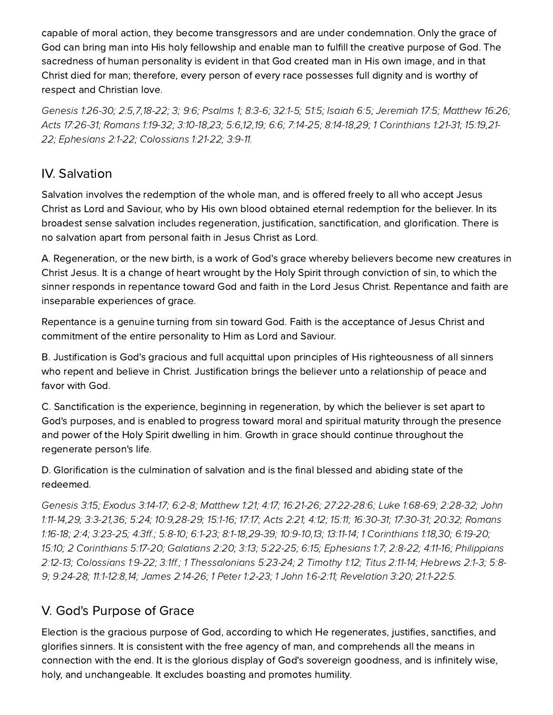capable of moral action, they become transgressors and are under condemnation. Only the grace of God can bring man into His holy fellowship and enable man to fulfill the creative purpose of God. The sacredness of human personality is evident in that God created man in His own image, and in that Christ died for man; therefore, every person of every race possesses full dignity and is worthy of respect and Christian love.

[Genesis](http://biblia.com/bible/hcsb/Genesis%201.26-30) 1:26-30; [2:5](http://biblia.com/bible/hcsb/Genesis%202.5)[,7,](http://biblia.com/bible/hcsb/Genesis%202.7)[18-22;](http://biblia.com/bible/hcsb/Genesis%202.18-22) [3](http://biblia.com/bible/hcsb/Genesis%202.3); [9:6;](http://biblia.com/bible/hcsb/Genesis%209.6) Psalms 1; 8:3-6; 32:1-5; 51:5; [Isaiah](http://biblia.com/bible/hcsb/Isaiah%206.5) 6:5; [Jeremiah](http://biblia.com/bible/hcsb/Jeremiah%2017.5) 17:5; [Matthew](http://biblia.com/bible/hcsb/Matthew%2016.26) 16:26; Acts [17:26-31](http://biblia.com/bible/hcsb/Acts%2017.26-31); [Romans](http://biblia.com/bible/hcsb/Romans%201.19-32) 1:19-32; [3:10-18,](http://biblia.com/bible/hcsb/Romans%203.10-18)[23](http://biblia.com/bible/hcsb/Romans%203.23); [5:6,](http://biblia.com/bible/hcsb/Romans%205.6)[12,](http://biblia.com/bible/hcsb/Romans%205.12)[19](http://biblia.com/bible/hcsb/Romans%205.19); [6:6;](http://biblia.com/bible/hcsb/Romans%206.6) [7:14-25](http://biblia.com/bible/hcsb/Romans%207.14-25); [8:14-18](http://biblia.com/bible/hcsb/Romans%208.14-18),[29](http://biblia.com/bible/hcsb/Romans%208.29); 1 [Corinthians](http://biblia.com/bible/hcsb/1%20Corinthians%201.21-31) 1:21-31; [15:19](http://biblia.com/bible/hcsb/1%20Corinthians%2015.19),21- 22; [Ephesians](http://biblia.com/bible/hcsb/Ephesians%202.1-22) 2:1-22; [Colossians](http://biblia.com/bible/hcsb/Colossians%201.21-22) 1:21-22; [3:9-11](http://biblia.com/bible/hcsb/Colossians%203.9-11).

#### IV. Salvation

Salvation involves the redemption of the whole man, and is offered freely to all who accept Jesus Christ as Lord and Saviour, who by His own blood obtained eternal redemption for the believer. In its broadest sense salvation includes regeneration, justification, sanctification, and glorification. There is no salvation apart from personal faith in Jesus Christ as Lord.

A. Regeneration, or the new birth, is a work of God's grace whereby believers become new creatures in Christ Jesus. It is a change of heart wrought by the Holy Spirit through conviction of sin, to which the sinner responds in repentance toward God and faith in the Lord Jesus Christ. Repentance and faith are inseparable experiences of grace.

Repentance is a genuine turning from sin toward God. Faith is the acceptance of Jesus Christ and commitment of the entire personality to Him as Lord and Saviour.

B. Justification is God's gracious and full acquittal upon principles of His righteousness of all sinners who repent and believe in Christ. Justification brings the believer unto a relationship of peace and favor with God.

C. Sanctification is the experience, beginning in regeneration, by which the believer is set apart to God's purposes, and is enabled to progress toward moral and spiritual maturity through the presence and power of the Holy Spirit dwelling in him. Growth in grace should continue throughout the regenerate person's life.

D. Glorification is the culmination of salvation and is the final blessed and abiding state of the redeemed.

[Genesis](http://biblia.com/bible/hcsb/Genesis%203.15) 3:15; [Exodus](http://biblia.com/bible/hcsb/Exodus%203.14-17) 3:14-17; [6:2-8](http://biblia.com/bible/hcsb/Exodus%206.2-8); [Matthew](http://biblia.com/bible/hcsb/Matthew%201.21) 1:21; [4:17](http://biblia.com/bible/hcsb/Matthew%204.17); [16:21-26;](http://biblia.com/bible/hcsb/Matthew%2016.21-26) [27:22-28:6](http://biblia.com/bible/hcsb/Matthew%2027.22-28.6)[;](http://biblia.com/bible/hcsb/John%201.11-14) Luke [1:68-69;](http://biblia.com/bible/hcsb/Luke%201.68-69) [2:28-32;](http://biblia.com/bible/hcsb/Luke%202.28-32) John 1:11-14[,29;](http://biblia.com/bible/hcsb/John%201.29) [3:3-21,](http://biblia.com/bible/hcsb/John%203.3-21)[36](http://biblia.com/bible/hcsb/John%203.36); [5:24](http://biblia.com/bible/hcsb/John%205.24); [10:9,](http://biblia.com/bible/hcsb/John%2010.9)[28-29](http://biblia.com/bible/hcsb/John%2010.28-29); [15:1-16;](http://biblia.com/bible/hcsb/John%2015.1-16) [17:17;](http://biblia.com/bible/hcsb/John%2017.17) [Acts](http://biblia.com/bible/hcsb/Acts%202.21) 2:21; [4:12;](http://biblia.com/bible/hcsb/Acts%204.12) [15:11](http://biblia.com/bible/hcsb/Acts%2015.11); [16:30-31](http://biblia.com/bible/hcsb/Acts%2016.30-31); [17:30-31](http://biblia.com/bible/hcsb/Acts%2017.30-31); [20:32;](http://biblia.com/bible/hcsb/Acts%2020.32) Romans 1:16-18; [2:4](http://biblia.com/bible/hcsb/Romans%202.4); [3:23-25](http://biblia.com/bible/hcsb/Romans%203.23-25); [4:3ff](http://biblia.com/bible/hcsb/Romans%204.3ff).; [5:8-10](http://biblia.com/bible/hcsb/Romans%205.8-10); [6:1-23](http://biblia.com/bible/hcsb/Romans%206.1-23); [8:1-18,29-39;](http://biblia.com/bible/hcsb/Romans%201.16-18) [10:9-10,](http://biblia.com/bible/hcsb/Romans%2010.9-10)[13;](http://biblia.com/bible/hcsb/Romans%2010.13) [13:11-14](http://biblia.com/bible/hcsb/Romans%2013.11-14); 1 [Corinthians](http://biblia.com/bible/hcsb/1%20Corinthians%201.18) 1:18,[30](http://biblia.com/bible/hcsb/1%20Corinthians%201.30); [6:19-20](http://biblia.com/bible/hcsb/1%20Corinthians%206.19-20); [15:10](http://biblia.com/bible/hcsb/1%20Corinthians%2015.10); 2 [Corinthians](http://biblia.com/bible/hcsb/2%20Corinthians%205.17-20) 5:17-20; [Galatians](http://biblia.com/bible/hcsb/Galatians%202.20) 2:20; [3:13](http://biblia.com/bible/hcsb/Galatians%203.13); [5:22-25;](http://biblia.com/bible/hcsb/Galatians%205.22-25) [6:15;](http://biblia.com/bible/hcsb/Galatians%206.15) [Ephesians](http://biblia.com/bible/hcsb/Ephesians%201.7) 1:7; [2:8-22](http://biblia.com/bible/hcsb/Ephesians%202.8-22); [4:11-16](http://biblia.com/bible/hcsb/Ephesians%204.11-16); Philippians 2:12-13; [Colossians](http://biblia.com/bible/hcsb/Colossians%201.9-22) 1:9-22; [3:1ff](http://biblia.com/bible/hcsb/Colossians%203.1ff).; 1 [Thessalonians](http://biblia.com/bible/hcsb/Philippians%202.12-13) 5:23-24; 2 [Timothy](http://biblia.com/bible/hcsb/2%20Timothy%201.12) 1:12; Titus [2:11-14](http://biblia.com/bible/hcsb/Titus%202.11-14); [Hebrews](http://biblia.com/bible/hcsb/Hebrews%202.1-3) 2:1-3; 5:8- 9; [9:24-28](http://biblia.com/bible/hcsb/Hebrews%209.24-28); [11:1-12:8](http://biblia.com/bible/hcsb/Hebrews%2011.1-12.8)[,14](http://biblia.com/bible/hcsb/Hebrews%2011.14); James [2:14-26](http://biblia.com/bible/hcsb/James%202.14-26); 1 Peter [1:2-23;](http://biblia.com/bible/hcsb/1%20Peter%201.2-23) 1 John [1:6-2:11;](http://biblia.com/bible/hcsb/1%20John%201.6-2.11) [Revelation](http://biblia.com/bible/hcsb/Revelation%203.20) 3:20; [21:1-22:5.](http://biblia.com/bible/hcsb/Revelation%2021.1-22.5)

## V. God's Purpose of Grace

Election is the gracious purpose of God, according to which He regenerates, justifies, sanctifies, and glorifies sinners. It is consistent with the free agency of man, and comprehends all the means in connection with the end. It is the glorious display of God's sovereign goodness, and is infinitely wise, holy, and unchangeable. It excludes boasting and promotes humility.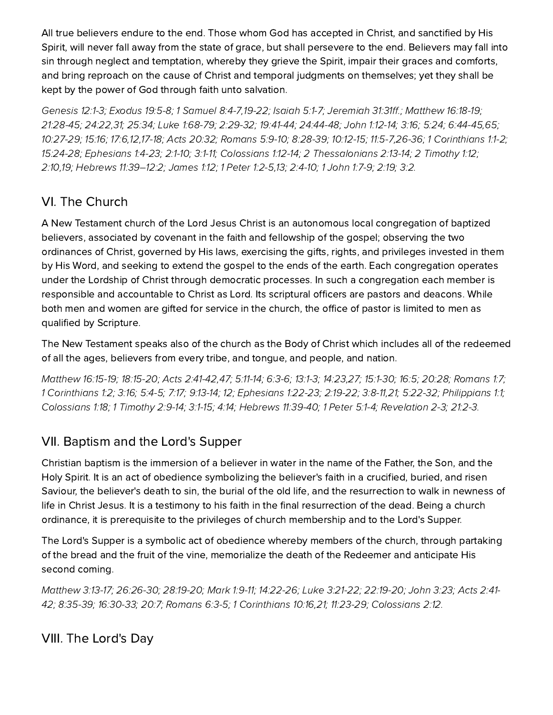All true believers endure to the end. Those whom God has accepted in Christ, and sanctified by His Spirit, will never fall away from the state of grace, but shall persevere to the end. Believers may fall into sin through neglect and temptation, whereby they grieve the Spirit, impair their graces and comforts, and bring reproach on the cause of Christ and temporal judgments on themselves; yet they shall be kept by the power of God through faith unto salvation.

[Genesis](http://biblia.com/bible/hcsb/Genesis%2012.1-3) 12:1-3; [Exodus](http://biblia.com/bible/hcsb/Exodus%2019.5-8) 19:5-8; 1 [Samuel](http://biblia.com/bible/hcsb/1%20Samuel%208.4-7) 8:4-7[,19-22;](http://biblia.com/bible/hcsb/1%20Samuel%208.19-22) [Isaiah](http://biblia.com/bible/hcsb/Isaiah%205.1-7) 5:1-7; [Jeremiah](http://biblia.com/bible/hcsb/Jeremiah%2031.31ff) 31:31ff.; [Matthew](http://biblia.com/bible/hcsb/Matthew%2016.18-19) 16:18-19; [21:28-45;](http://biblia.com/bible/hcsb/Matthew%2021.28-45) [24:22](http://biblia.com/bible/hcsb/Matthew%2024.22),[31](http://biblia.com/bible/hcsb/Matthew%2024.31); [25:34](http://biblia.com/bible/hcsb/Matthew%2025.34); Luke [1:68-79](http://biblia.com/bible/hcsb/Luke%201.68-79); [2:29-32](http://biblia.com/bible/hcsb/Luke%202.29-32); [19:41-44;](http://biblia.com/bible/hcsb/Luke%2019.41-44) [24:44-48](http://biblia.com/bible/hcsb/Luke%2024.44-48); John [1:12-14](http://biblia.com/bible/hcsb/John%201.12-14); [3:16](http://biblia.com/bible/hcsb/John%203.16); [5:24](http://biblia.com/bible/hcsb/John%205.24); [6:44-45](http://biblia.com/bible/hcsb/John%206.44-45),[65;](http://biblia.com/bible/hcsb/John%206.65) [10:27-29;](http://biblia.com/bible/hcsb/John%2010.27-29) [15:16](http://biblia.com/bible/hcsb/John%2015.16); [17:6](http://biblia.com/bible/hcsb/John%2017.6)[,12](http://biblia.com/bible/hcsb/John%2017.12)[,17-18;](http://biblia.com/bible/hcsb/John%2017.17-18) Acts [20:32](http://biblia.com/bible/hcsb/Acts%2020.32); [Romans](http://biblia.com/bible/hcsb/Romans%205.9-10) 5:9-10; [8:28-39;](http://biblia.com/bible/hcsb/Romans%208.28-39) [10:12-15](http://biblia.com/bible/hcsb/Romans%2010.12-15); [11:5-7](http://biblia.com/bible/hcsb/Romans%2011.5-7)[,26-36](http://biblia.com/bible/hcsb/Romans%2011.26-36); 1 [Corinthians](http://biblia.com/bible/hcsb/1%20Corinthians%201.1-2) 1:1-2; [15:24-28;](http://biblia.com/bible/hcsb/1%20Corinthians%2015.24-28) [Ephesians](http://biblia.com/bible/hcsb/Ephesians%201.4-23) 1:4-23; [2:1-10](http://biblia.com/bible/hcsb/Ephesians%202.1-10); [3:1-11](http://biblia.com/bible/hcsb/Ephesians%203.1-11); [Colossians](http://biblia.com/bible/hcsb/Colossians%201.12-14) 1:12-14; 2 [Thessalonians](http://biblia.com/bible/hcsb/2%20Thessalonians%202.13-14) 2:13-14; 2 [Timothy](http://biblia.com/bible/hcsb/2%20Timothy%201.12) 1:12; [2:10](http://biblia.com/bible/hcsb/2%20Timothy%202.10),[19;](http://biblia.com/bible/hcsb/2%20Timothy%202.19) Hebrews [11:39–12:2](http://biblia.com/bible/hcsb/Hebrews%2011.39%E2%80%9312.2); [James](http://biblia.com/bible/hcsb/James%201.12) 1:12; 1 [Peter](http://biblia.com/bible/hcsb/1%20Peter%201.2-5) 1:2-5[,13](http://biblia.com/bible/hcsb/1%20Peter%201.13); [2:4-10](http://biblia.com/bible/hcsb/1%20Peter%202.4-10); 1 [John](http://biblia.com/bible/hcsb/1%20John%201.7-9) 1:7-9; [2:19;](http://biblia.com/bible/hcsb/1%20John%202.19) [3:2.](http://biblia.com/bible/hcsb/1%20John%203.2)

## VI. The Church

A New Testament church of the Lord Jesus Christ is an autonomous local congregation of baptized believers, associated by covenant in the faith and fellowship of the gospel; observing the two ordinances of Christ, governed by His laws, exercising the gifts, rights, and privileges invested in them by His Word, and seeking to extend the gospel to the ends of the earth. Each congregation operates under the Lordship of Christ through democratic processes. In such a congregation each member is responsible and accountable to Christ as Lord. Its scriptural officers are pastors and deacons. While both men and women are gifted for service in the church, the office of pastor is limited to men as qualified by Scripture.

The New Testament speaks also of the church as the Body of Christ which includes all of the redeemed of all the ages, believers from every tribe, and tongue, and people, and nation.

[Matthew](http://biblia.com/bible/hcsb/Matthew%2016.15-19) 16:15-19; [18:15-20;](http://biblia.com/bible/hcsb/Matthew%2018.15-20) Acts [2:41-42](http://biblia.com/bible/hcsb/Acts%202.41-42)[,47](http://biblia.com/bible/hcsb/Acts%202.47); [5:11-14](http://biblia.com/bible/hcsb/Acts%205.11-14); [6:3-6;](http://biblia.com/bible/hcsb/Acts%206.3-6) [13:1-3](http://biblia.com/bible/hcsb/Acts%2013.1-3); [14:23,](http://biblia.com/bible/hcsb/Acts%2014.23)[27;](http://biblia.com/bible/hcsb/Acts%2014.27) [15:1-30](http://biblia.com/bible/hcsb/Acts%2015.1-30); [16:5](http://biblia.com/bible/hcsb/Acts%2016.5); [20:28](http://biblia.com/bible/hcsb/Acts%2020.28); [Romans](http://biblia.com/bible/hcsb/Romans%201.7) 1:7; 1 [Corinthians](http://biblia.com/bible/hcsb/1%20Corinthians%201.2) 1:2; [3:16;](http://biblia.com/bible/hcsb/1%20Corinthians%203.16) [5:4-5](http://biblia.com/bible/hcsb/1%20Corinthians%205.4-5); [7:17](http://biblia.com/bible/hcsb/1%20Corinthians%207.17); [9:13-14](http://biblia.com/bible/hcsb/1%20Corinthians%209.13-14); [12;](http://biblia.com/bible/hcsb/1%20Corinthians%209.12) [Ephesians](http://biblia.com/bible/hcsb/Ephesians%201.22-23) 1:22-23; [2:19-22](http://biblia.com/bible/hcsb/Ephesians%202.19-22); [3:8-11](http://biblia.com/bible/hcsb/Ephesians%203.8-11)[,21](http://biblia.com/bible/hcsb/Ephesians%203.21); [5:22-32;](http://biblia.com/bible/hcsb/Ephesians%205.22-32) [Philippians](http://biblia.com/bible/hcsb/Philippians%201.1) 1:1; [Colossians](http://biblia.com/bible/hcsb/Colossians%201.18) 1:18; 1 [Timothy](http://biblia.com/bible/hcsb/1%20Timothy%202.9-14) 2:9-14; [3:1-15](http://biblia.com/bible/hcsb/1%20Timothy%203.1-15); [4:14;](http://biblia.com/bible/hcsb/1%20Timothy%204.14) [Hebrews](http://biblia.com/bible/hcsb/Hebrews%2011.39-40) 11:39-40; 1 [Peter](http://biblia.com/bible/hcsb/1%20Peter%205.1-4) 5:1-4; Revelation 2-3; 21:2-3.

## VII. Baptism and the Lord's Supper

Christian baptism is the immersion of a believer in water in the name of the Father, the Son, and the Holy Spirit. It is an act of obedience symbolizing the believer's faith in a crucified, buried, and risen Saviour, the believer's death to sin, the burial of the old life, and the resurrection to walk in newness of life in Christ Jesus. It is a testimony to his faith in the final resurrection of the dead. Being a church ordinance, it is prerequisite to the privileges of church membership and to the Lord's Supper.

The Lord's Supper is a symbolic act of obedience whereby members of the church, through partaking of the bread and the fruit of the vine, memorialize the death of the Redeemer and anticipate His second coming.

[Matthew](http://biblia.com/bible/hcsb/Matthew%203.13-17) 3:13-17; [26:26-30](http://biblia.com/bible/hcsb/Matthew%2026.26-30); [28:19-20](http://biblia.com/bible/hcsb/Matthew%2028.19-20); [Mark](http://biblia.com/bible/hcsb/Mark%201.9-11) 1:9-11; [14:22-26;](http://biblia.com/bible/hcsb/Mark%2014.22-26) Luke [3:21-22](http://biblia.com/bible/hcsb/Luke%203.21-22); [22:19-20;](http://biblia.com/bible/hcsb/Luke%2022.19-20) [John](http://biblia.com/bible/hcsb/John%203.23) 3:23; Acts 2:41- 42; [8:35-39](http://biblia.com/bible/hcsb/Acts%208.35-39); [16:30-33;](http://biblia.com/bible/hcsb/Acts%2016.30-33) [20:7](http://biblia.com/bible/hcsb/Acts%2020.7); [Romans](http://biblia.com/bible/hcsb/Romans%206.3-5) 6:3-5; 1 [Corinthians](http://biblia.com/bible/hcsb/Acts%202.41-42) 10:16,[21](http://biblia.com/bible/hcsb/1%20Corinthians%2010.21); [11:23-29](http://biblia.com/bible/hcsb/1%20Corinthians%2011.23-29); [Colossians](http://biblia.com/bible/hcsb/Colossians%202.12) 2:12.

VIII. The Lord's Day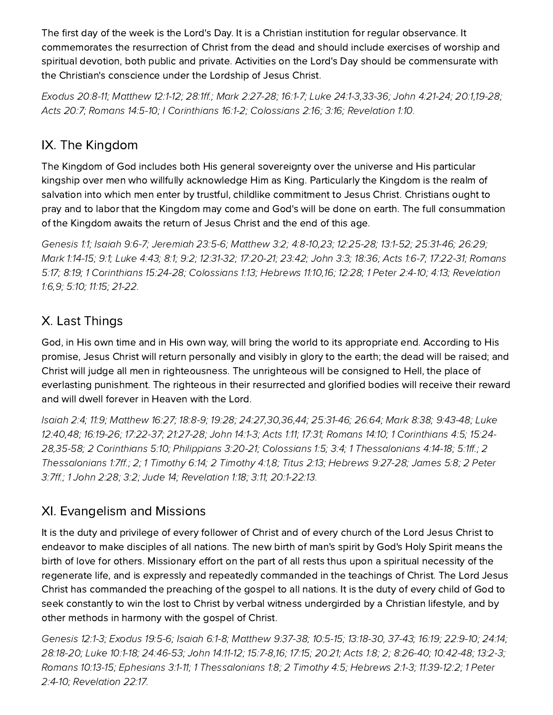The first day of the week is the Lord's Day. It is a Christian institution for regular observance. It commemorates the resurrection of Christ from the dead and should include exercises of worship and spiritual devotion, both public and private. Activities on the Lord's Day should be commensurate with the Christian's conscience under the Lordship of Jesus Christ.

[Exodus](http://biblia.com/bible/hcsb/Exodus%2020.8-11) 20:8-11; [Matthew](http://biblia.com/bible/hcsb/Matthew%2012.1-12) 12:1-12; [28:1ff](http://biblia.com/bible/hcsb/Matthew%2028.1ff).; Mark [2:27-28](http://biblia.com/bible/hcsb/Mark%202.27-28); [16:1-7](http://biblia.com/bible/hcsb/Mark%2016.1-7); Luke [24:1-3](http://biblia.com/bible/hcsb/Luke%2024.1-3),[33-36](http://biblia.com/bible/hcsb/Luke%2024.33-36); John [4:21-24](http://biblia.com/bible/hcsb/John%204.21-24); [20:1,](http://biblia.com/bible/hcsb/John%2020.1)[19-28;](http://biblia.com/bible/hcsb/John%2020.19-28) Acts [20:7;](http://biblia.com/bible/hcsb/Acts%2020.7) [Romans](http://biblia.com/bible/hcsb/Romans%2014.5-10) 14:5-10; I [Corinthians](http://biblia.com/bible/hcsb/I%20Corinthians%2016.1-2) 16:1-2; [Colossians](http://biblia.com/bible/hcsb/Colossians%202.16) 2:16; [3:16](http://biblia.com/bible/hcsb/Colossians%203.16); [Revelation](http://biblia.com/bible/hcsb/Revelation%201.10) 1:10.

#### IX. The Kingdom

The Kingdom of God includes both His general sovereignty over the universe and His particular kingship over men who willfully acknowledge Him as King. Particularly the Kingdom is the realm of salvation into which men enter by trustful, childlike commitment to Jesus Christ. Christians ought to pray and to labor that the Kingdom may come and God's will be done on earth. The full consummation of the Kingdom awaits the return of Jesus Christ and the end of this age.

[Genesis](http://biblia.com/bible/hcsb/Genesis%201.1) 1:1; [Isaiah](http://biblia.com/bible/hcsb/Isaiah%209.6-7) 9:6-7; [Jeremiah](http://biblia.com/bible/hcsb/Jeremiah%2023.5-6) 23:5-6; [Matthew](http://biblia.com/bible/hcsb/Matthew%203.2) 3:2; [4:8-10](http://biblia.com/bible/hcsb/Matthew%204.8-10)[,23](http://biblia.com/bible/hcsb/Matthew%204.23); [12:25-28;](http://biblia.com/bible/hcsb/Matthew%2012.25-28) [13:1-52;](http://biblia.com/bible/hcsb/Matthew%2013.1-52) [25:31-46;](http://biblia.com/bible/hcsb/Matthew%2025.31-46) [26:29;](http://biblia.com/bible/hcsb/Matthew%2026.29) Mark [1:14-15](http://biblia.com/bible/hcsb/Mark%201.14-15); [9:1;](http://biblia.com/bible/hcsb/Mark%209.1) [Luke](http://biblia.com/bible/hcsb/Luke%204.43) 4:43; [8:1;](http://biblia.com/bible/hcsb/Luke%208.1) [9:2](http://biblia.com/bible/hcsb/Luke%209.2); [12:31-32;](http://biblia.com/bible/hcsb/Luke%2012.31-32) [17:20-21;](http://biblia.com/bible/hcsb/Luke%2017.20-21) [23:42;](http://biblia.com/bible/hcsb/Luke%2023.42) [John](http://biblia.com/bible/hcsb/John%203.3) 3:3; [18:36;](http://biblia.com/bible/hcsb/John%2018.36) Acts [1:6-7;](http://biblia.com/bible/hcsb/Acts%201.6-7) [17:22-31](http://biblia.com/bible/hcsb/Acts%2017.22-31); Romans 5:17; [8:19;](http://biblia.com/bible/hcsb/Romans%208.19) 1 [Corinthians](http://biblia.com/bible/hcsb/Romans%205.17) 15:24-28; [Colossians](http://biblia.com/bible/hcsb/Colossians%201.13) 1:13; [Hebrews](http://biblia.com/bible/hcsb/Hebrews%2011.10) 11:10[,16;](http://biblia.com/bible/hcsb/Hebrews%2011.16) [12:28](http://biblia.com/bible/hcsb/Hebrews%2012.28); 1 Peter [2:4-10](http://biblia.com/bible/hcsb/1%20Peter%202.4-10); [4:13](http://biblia.com/bible/hcsb/1%20Peter%204.13); Revelation 1:6[,9](http://biblia.com/bible/hcsb/Revelation%201.9); [5:10](http://biblia.com/bible/hcsb/Revelation%205.10); [11:15](http://biblia.com/bible/hcsb/Revelation%2011.15); [21-22.](http://biblia.com/bible/hcsb/Revelation%2011.21-22)

# X. Last Things

God, in His own time and in His own way, will bring the world to its appropriate end. According to His promise, Jesus Christ will return personally and visibly in glory to the earth; the dead will be raised; and Christ will judge all men in righteousness. The unrighteous will be consigned to Hell, the place of everlasting punishment. The righteous in their resurrected and glorified bodies will receive their reward and will dwell forever in Heaven with the Lord.

[Isaiah](http://biblia.com/bible/hcsb/Isaiah%202.4) 2:4; [11:9](http://biblia.com/bible/hcsb/Isaiah%2011.9); [Matthew](http://biblia.com/bible/hcsb/Matthew%2016.27) 16:27; [18:8-9](http://biblia.com/bible/hcsb/Matthew%2018.8-9); [19:28;](http://biblia.com/bible/hcsb/Matthew%2019.28) [24:27](http://biblia.com/bible/hcsb/Matthew%2024.27)[,3](http://biblia.com/bible/hcsb/Luke%2012.40)[0](http://biblia.com/bible/hcsb/Matthew%2024.30)[,36,4](http://biblia.com/bible/hcsb/Luke%2012.40)[4](http://biblia.com/bible/hcsb/Matthew%2024.44)[;](http://biblia.com/bible/hcsb/Luke%2012.40) [25:31-46;](http://biblia.com/bible/hcsb/Matthew%2025.31-46) [26:64](http://biblia.com/bible/hcsb/Matthew%2026.64); [Mark](http://biblia.com/bible/hcsb/Mark%208.38) 8:38; [9:43-48](http://biblia.com/bible/hcsb/Mark%209.43-48); Luke 12:40,[48](http://biblia.com/bible/hcsb/Luke%2012.48); [16:19-26](http://biblia.com/bible/hcsb/Luke%2016.19-26); [17:22-37;](http://biblia.com/bible/hcsb/Luke%2017.22-37) [21:27-28](http://biblia.com/bible/hcsb/Luke%2021.27-28); John [14:1-3;](http://biblia.com/bible/hcsb/John%2014.1-3) [Acts](http://biblia.com/bible/hcsb/Acts%201.11) 1:11; [17:31](http://biblia.com/bible/hcsb/Acts%2017.31); [Romans](http://biblia.com/bible/hcsb/Romans%2014.10) 14:10; 1 [Corinthians](http://biblia.com/bible/hcsb/1%20Corinthians%204.5) 4:5; 15:24- 28[,35-58;](http://biblia.com/bible/hcsb/1%20Corinthians%2015.35-58) 2 [Corinthians](http://biblia.com/bible/hcsb/2%20Corinthians%205.10) 5:10; [Philippians](http://biblia.com/bible/hcsb/Philippians%203.20-21) 3:20-21; [Colossians](http://biblia.com/bible/hcsb/Colossians%201.5) 1:5; [3:4;](http://biblia.com/bible/hcsb/Colossians%203.4) 1 [Thessalonians](http://biblia.com/bible/hcsb/1%20Corinthians%2015.24-28) 4:14-18; [5:1ff.](http://biblia.com/bible/hcsb/1%20Thessalonians%205.1ff); 2 [Thessalonians](http://biblia.com/bible/hcsb/2%20Peter%203.7ff) 1:7ff.; [2](http://biblia.com/bible/hcsb/2%20Thessalonians%201.2); 1 [Timothy](http://biblia.com/bible/hcsb/1%20Timothy%206.14) 6:14; 2 [Timothy](http://biblia.com/bible/hcsb/2%20Timothy%204.1) 4:1[,8](http://biblia.com/bible/hcsb/2%20Timothy%204.8); [Titus](http://biblia.com/bible/hcsb/Titus%202.13) 2:13; [Hebrews](http://biblia.com/bible/hcsb/Hebrews%209.27-28) 9:27-28; [James](http://biblia.com/bible/hcsb/James%205.8) 5:8; 2 Peter 3:7ff.; 1 [John](http://biblia.com/bible/hcsb/1%20John%202.28) 2:28; [3:2;](http://biblia.com/bible/hcsb/1%20John%203.2) [Jude](http://biblia.com/bible/hcsb/Jude%2014) 14; [Revelation](http://biblia.com/bible/hcsb/Revelation%201.18) 1:18; [3:11](http://biblia.com/bible/hcsb/Revelation%203.11); [20:1-22:13](http://biblia.com/bible/hcsb/Revelation%2020.1-22.13).

#### XI. Evangelism and Missions

It is the duty and privilege of every follower of Christ and of every church of the Lord Jesus Christ to endeavor to make disciples of all nations. The new birth of man's spirit by God's Holy Spirit means the birth of love for others. Missionary effort on the part of all rests thus upon a spiritual necessity of the regenerate life, and is expressly and repeatedly commanded in the teachings of Christ. The Lord Jesus Christ has commanded the preaching of the gospel to all nations. It is the duty of every child of God to seek constantly to win the lost to Christ by verbal witness undergirded by a Christian lifestyle, and by other methods in harmony with the gospel of Christ.

[Genesis](http://biblia.com/bible/hcsb/Genesis%2012.1-3) 12:1-3; [Exodus](http://biblia.com/bible/hcsb/Exodus%2019.5-6) 19:5-6; [Isaiah](http://biblia.com/bible/hcsb/Isaiah%206.1-8) 6:1-8; [Matthew](http://biblia.com/bible/hcsb/Matthew%209.37-38) 9:37-38; [10:5-15;](http://biblia.com/bible/hcsb/Matthew%2010.5-15) [13:18-30,](http://biblia.com/bible/hcsb/Matthew%2013.18-30) [37-43](http://biblia.com/bible/hcsb/Matthew%2013.37-43); [16:19;](http://biblia.com/bible/hcsb/Matthew%2016.19) [22:9-10](http://biblia.com/bible/hcsb/Matthew%2022.9-10); [24:14;](http://biblia.com/bible/hcsb/Matthew%2024.14) [28:18-20;](http://biblia.com/bible/hcsb/Matthew%2028.18-20) Luke [10:1-18](http://biblia.com/bible/hcsb/Luke%2010.1-18); [24:46-53;](http://biblia.com/bible/hcsb/Luke%2024.46-53) John [14:11-12;](http://biblia.com/bible/hcsb/John%2014.11-12) [15:7-8](http://biblia.com/bible/hcsb/John%2015.7-8),[16;](http://biblia.com/bible/hcsb/John%2015.16) [17:15](http://biblia.com/bible/hcsb/John%2017.15); [20:21;](http://biblia.com/bible/hcsb/John%2020.21) [Acts](http://biblia.com/bible/hcsb/Acts%201.8) 1:8; [2;](http://biblia.com/bible/hcsb/Acts%201.2) [8:26-40](http://biblia.com/bible/hcsb/Acts%208.26-40); [10:42-48](http://biblia.com/bible/hcsb/Acts%2010.42-48); [13:2-3;](http://biblia.com/bible/hcsb/Acts%2013.2-3) [Romans](http://biblia.com/bible/hcsb/Romans%2010.13-15) 10:13-15; [Ephesians](http://biblia.com/bible/hcsb/Ephesians%203.1-11) 3:1-11; 1 [Thessalonians](http://biblia.com/bible/hcsb/1%20Thessalonians%201.8) 1:8; 2 [Timothy](http://biblia.com/bible/hcsb/2%20Timothy%204.5) 4:5; [Hebrews](http://biblia.com/bible/hcsb/Hebrews%202.1-3) 2:1-3; [11:39-12:2](http://biblia.com/bible/hcsb/Hebrews%2011.39-12.2); 1 Peter 2:4-10; [Revelation](http://biblia.com/bible/hcsb/Revelation%2022.17) 22:17.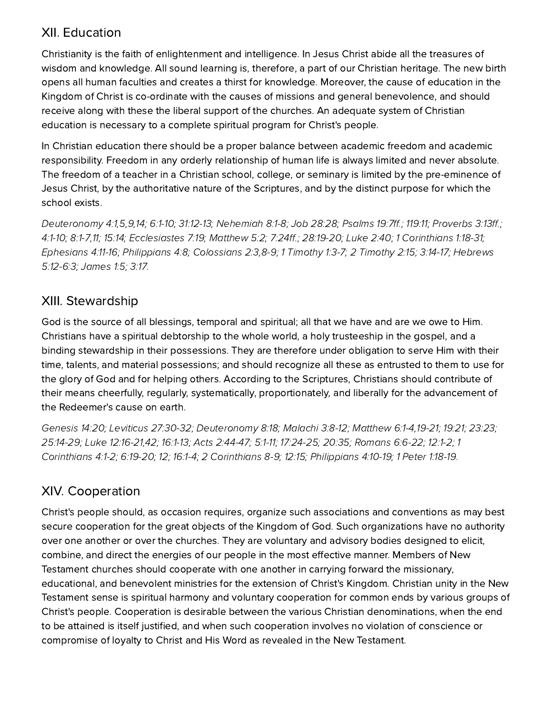#### XII. Education

Christianity is the faith of enlightenment and intelligence. In Jesus Christ abide all the treasures of wisdom and knowledge. All sound learning is, therefore, a part of our Christian heritage. The new birth opens all human faculties and creates a thirst for knowledge. Moreover, the cause of education in the Kingdom of Christ is co-ordinate with the causes of missions and general benevolence, and should receive along with these the liberal support of the churches. An adequate system of Christian education is necessary to a complete spiritual program for Christ's people.

In Christian education there should be a proper balance between academic freedom and academic responsibility. Freedom in any orderly relationship of human life is always limited and never absolute. The freedom of a teacher in a Christian school, college, or seminary is limited by the pre-eminence of Jesus Christ, by the authoritative nature of the Scriptures, and by the distinct purpose for which the school exists.

[Deuteronomy](http://biblia.com/bible/hcsb/Deuteronomy%204.1) 4:1[,5](http://biblia.com/bible/hcsb/Deuteronomy%204.5)[,9](http://biblia.com/bible/hcsb/Deuteronomy%204.9)[,14](http://biblia.com/bible/hcsb/Deuteronomy%204.14); [6:1-10;](http://biblia.com/bible/hcsb/Deuteronomy%206.1-10) [31:12-13](http://biblia.com/bible/hcsb/Deuteronomy%2031.12-13); [Nehemiah](http://biblia.com/bible/hcsb/Nehemiah%208.1-8) 8:1-8; Job [28:28;](http://biblia.com/bible/hcsb/Job%2028.28) [Psalms](http://biblia.com/bible/hcsb/Psalms%2019.7ff) 19:7ff.; [119:11;](http://biblia.com/bible/hcsb/Psalms%20119.11) [Proverbs](http://biblia.com/bible/hcsb/Proverbs%203.13ff) 3:13ff.; [4:1-10](http://biblia.com/bible/hcsb/Proverbs%204.1-10); [8:1-7](http://biblia.com/bible/hcsb/Proverbs%208.1-7)[,11;](http://biblia.com/bible/hcsb/Proverbs%208.11) [15:14;](http://biblia.com/bible/hcsb/Proverbs%2015.14) [Ecclesiastes](http://biblia.com/bible/hcsb/Ecclesiastes%207.19) 7:19; [Matthew](http://biblia.com/bible/hcsb/Matthew%205.2) 5:2; [7:24ff.](http://biblia.com/bible/hcsb/Matthew%207.24ff); [28:19-20](http://biblia.com/bible/hcsb/Matthew%2028.19-20); [Luke](http://biblia.com/bible/hcsb/Luke%202.40) 2:40; 1 [Corinthians](http://biblia.com/bible/hcsb/1%20Corinthians%201.18-31) 1:18-31; [Ephesians](http://biblia.com/bible/hcsb/Ephesians%204.11-16) 4:11-16; [Philippians](http://biblia.com/bible/hcsb/Philippians%204.8) 4:8; [C](http://biblia.com/bible/hcsb/Hebrews%205.12-6.3)[olossians](http://biblia.com/bible/hcsb/Colossians%202.3) 2:3[,8-9](http://biblia.com/bible/hcsb/Colossians%202.8-9); 1 [Timothy](http://biblia.com/bible/hcsb/1%20Timothy%201.3-7) 1:3-7; 2 [Timothy](http://biblia.com/bible/hcsb/2%20Timothy%202.15) 2:15; [3:14-17;](http://biblia.com/bible/hcsb/2%20Timothy%203.14-17) Hebrews 5:12-6:3; [James](http://biblia.com/bible/hcsb/James%201.5) 1:5; [3:17](http://biblia.com/bible/hcsb/James%203.17).

#### XIII. Stewardship

God is the source of all blessings, temporal and spiritual; all that we have and are we owe to Him. Christians have a spiritual debtorship to the whole world, a holy trusteeship in the gospel, and a binding stewardship in their possessions. They are therefore under obligation to serve Him with their time, talents, and material possessions; and should recognize all these as entrusted to them to use for the glory of God and for helping others. According to the Scriptures, Christians should contribute of their means cheerfully, regularly, systematically, proportionately, and liberally for the advancement of the Redeemer's cause on earth.

[Genesis](http://biblia.com/bible/hcsb/Genesis%2014.20) 14:20; Leviticus [27:30-32](http://biblia.com/bible/hcsb/Leviticus%2027.30-32); [Deuteronomy](http://biblia.com/bible/hcsb/Deuteronomy%208.18) 8:18; [Malachi](http://biblia.com/bible/hcsb/Malachi%203.8-12) 3:8-12; [Matthew](http://biblia.com/bible/hcsb/Matthew%206.1-4) 6:1-4,[19-21;](http://biblia.com/bible/hcsb/Matthew%206.19-21) [19:21](http://biblia.com/bible/hcsb/Matthew%2019.21); [23:23;](http://biblia.com/bible/hcsb/Matthew%2023.23) [25:14-29;](http://biblia.com/bible/hcsb/Matthew%2025.14-29) Luke [12:16-21,](http://biblia.com/bible/hcsb/Luke%2012.16-21)[42;](http://biblia.com/bible/hcsb/Luke%2012.42) [16:1-13](http://biblia.com/bible/hcsb/Luke%2016.1-13); Acts [2:44-47](http://biblia.com/bible/hcsb/Acts%202.44-47); [5:1-11](http://biblia.com/bible/hcsb/Acts%205.1-11); [17:24-25](http://biblia.com/bible/hcsb/Acts%2017.24-25); [20:35;](http://biblia.com/bible/hcsb/Acts%2020.35) [Romans](http://biblia.com/bible/hcsb/Romans%206.6-22) 6:6-22; [12:1-2](http://biblia.com/bible/hcsb/Romans%2012.1-2); 1 [Corinthians](http://biblia.com/bible/hcsb/1%20Corinthians%204.1-2) 4:1-2; [6:19-20;](http://biblia.com/bible/hcsb/1%20Corinthians%206.19-20) [12](http://biblia.com/bible/hcsb/1%20Corinthians%206.12); [16:1-4](http://biblia.com/bible/hcsb/1%20Corinthians%2016.1-4); 2 Corinthians 8-9; 12:15; [Philippians](http://biblia.com/bible/hcsb/Philippians%204.10-19) 4:10-19; 1 Peter [1:18-19](http://biblia.com/bible/hcsb/1%20Peter%201.18-19).

## XIV. Cooperation

Christ's people should, as occasion requires, organize such associations and conventions as may best secure cooperation for the great objects of the Kingdom of God. Such organizations have no authority over one another or over the churches. They are voluntary and advisory bodies designed to elicit, combine, and direct the energies of our people in the most effective manner. Members of New Testament churches should cooperate with one another in carrying forward the missionary, educational, and benevolent ministries for the extension of Christ's Kingdom. Christian unity in the New Testament sense is spiritual harmony and voluntary cooperation for common ends by various groups of Christ's people. Cooperation is desirable between the various Christian denominations, when the end to be attained is itself justified, and when such cooperation involves no violation of conscience or compromise of loyalty to Christ and His Word as revealed in the New Testament.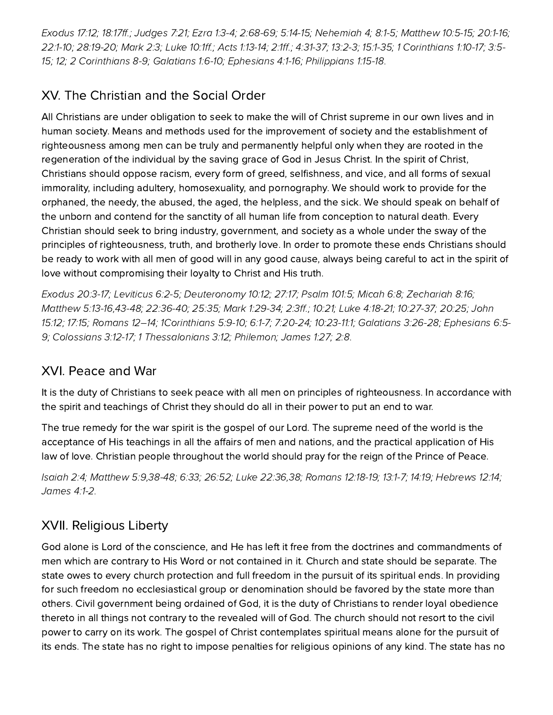[Exodus](http://biblia.com/bible/hcsb/Exodus%2017.12) 17:12; [18:17ff](http://biblia.com/bible/hcsb/Exodus%2018.17ff).; [Judges](http://biblia.com/bible/hcsb/Judges%207.21) 7:21; [Ezra](http://biblia.com/bible/hcsb/Ezra%201.3-4) 1:3-4; [2:68-69;](http://biblia.com/bible/hcsb/Ezra%202.68-69) [5:14-15;](http://biblia.com/bible/hcsb/Ezra%205.14-15) Nehemiah 4; 8:1-5; [Matthew](http://biblia.com/bible/hcsb/Matthew%2010.5-15) 10:5-15; [20:1-16;](http://biblia.com/bible/hcsb/Matthew%2020.1-16) [22:1-10;](http://biblia.com/bible/hcsb/Matthew%2022.1-10) [28:19-20;](http://biblia.com/bible/hcsb/Matthew%2028.19-20) [Mark](http://biblia.com/bible/hcsb/Mark%202.3) 2:3; [Luke](http://biblia.com/bible/hcsb/Luke%2010.1ff) 10:1ff.; Acts [1:13-14](http://biblia.com/bible/hcsb/Acts%201.13-14); [2:1ff](http://biblia.com/bible/hcsb/Acts%202.1ff).; [4:31-37;](http://biblia.com/bible/hcsb/Acts%204.31-37) [13:2-3](http://biblia.com/bible/hcsb/Acts%2013.2-3); [15:1-35;](http://biblia.com/bible/hcsb/Acts%2015.1-35) 1 [Corinthians](http://biblia.com/bible/hcsb/1%20Corinthians%201.10-17) 1:10-17; 3:5- 15; [12](http://biblia.com/bible/hcsb/1%20Corinthians%203.12); 2 [Corinthians](http://biblia.com/bible/hcsb/1%20Corinthians%203.5-15) 8-9; [Galatians](http://biblia.com/bible/hcsb/Galatians%201.6-10) 1:6-10; [Ephesians](http://biblia.com/bible/hcsb/Ephesians%204.1-16) 4:1-16; [Philippians](http://biblia.com/bible/hcsb/Philippians%201.15-18) 1:15-18.

# XV. The Christian and the Social Order

All Christians are under obligation to seek to make the will of Christ supreme in our own lives and in human society. Means and methods used for the improvement of society and the establishment of righteousness among men can be truly and permanently helpful only when they are rooted in the regeneration of the individual by the saving grace of God in Jesus Christ. In the spirit of Christ, Christians should oppose racism, every form of greed, selfishness, and vice, and all forms of sexual immorality, including adultery, homosexuality, and pornography. We should work to provide for the orphaned, the needy, the abused, the aged, the helpless, and the sick. We should speak on behalf of the unborn and contend for the sanctity of all human life from conception to natural death. Every Christian should seek to bring industry, government, and society as a whole under the sway of the principles of righteousness, truth, and brotherly love. In order to promote these ends Christians should be ready to work with all men of good will in any good cause, always being careful to act in the spirit of love without compromising their loyalty to Christ and His truth.

[Exodus](http://biblia.com/bible/hcsb/Exodus%2020.3-17) 20:3-17; [Leviticus](http://biblia.com/bible/hcsb/Leviticus%206.2-5) 6:2-5; [Deuteronomy](http://biblia.com/bible/hcsb/Deuteronomy%2010.12) 10:12; [27:17;](http://biblia.com/bible/hcsb/Deuteronomy%2027.17) [Psalm](http://biblia.com/bible/hcsb/Psalm%20101.5) 101:5; [Micah](http://biblia.com/bible/hcsb/Micah%206.8) 6:8; [Zechariah](http://biblia.com/bible/hcsb/Zechariah%208.16) 8:16; [Matthew](http://biblia.com/bible/hcsb/Matthew%205.13-16) [5:13-16,4](http://biblia.com/bible/hcsb/John%2015.12)[3-4](http://biblia.com/bible/hcsb/Matthew%205.43-48)[8;](http://biblia.com/bible/hcsb/John%2015.12) [22:36-40](http://biblia.com/bible/hcsb/Matthew%2022.36-40); [25:35](http://biblia.com/bible/hcsb/Matthew%2025.35); Mark [1:29-34;](http://biblia.com/bible/hcsb/Mark%201.29-34) [2:3ff.](http://biblia.com/bible/hcsb/Mark%202.3ff); [10:21;](http://biblia.com/bible/hcsb/Mark%2010.21) Luke [4:18-21;](http://biblia.com/bible/hcsb/Luke%204.18-21) [10:27-37;](http://biblia.com/bible/hcsb/Luke%2010.27-37) [20:25](http://biblia.com/bible/hcsb/Luke%2020.25); John 15:12; [17:15;](http://biblia.com/bible/hcsb/John%2017.15) Romans 12–14; [1Corinthians](http://biblia.com/bible/hcsb/1Corinthians%205.9-10) 5:9-10; [6:1-7](http://biblia.com/bible/hcsb/1Corinthians%206.1-7); [7:20-24](http://biblia.com/bible/hcsb/1Corinthians%207.20-24); [10:23-11:1](http://biblia.com/bible/hcsb/1Corinthians%2010.23-11.1); [Galatians](http://biblia.com/bible/hcsb/Galatians%203.26-28) 3:26-28; Ephesians 6:5- 9; [Colossians](http://biblia.com/bible/hcsb/Colossians%203.12-17) 3:12-17; 1 [Thessalonians](http://biblia.com/bible/hcsb/Ephesians%206.5-9) 3:12; Philemon; [James](http://biblia.com/bible/hcsb/James%201.27) 1:27; [2:8.](http://biblia.com/bible/hcsb/James%202.8)

# XVI. Peace and War

It is the duty of Christians to seek peace with all men on principles of righteousness. In accordance with the spirit and teachings of Christ they should do all in their power to put an end to war.

The true remedy for the war spirit is the gospel of our Lord. The supreme need of the world is the acceptance of His teachings in all the affairs of men and nations, and the practical application of His law of love. Christian people throughout the world should pray for the reign of the Prince of Peace.

[Isaiah](http://biblia.com/bible/hcsb/Isaiah%202.4) 2:4; [Matthew](http://biblia.com/bible/hcsb/Matthew%205.9) 5:9,[38-48;](http://biblia.com/bible/hcsb/Matthew%205.38-48) [6:33](http://biblia.com/bible/hcsb/Matthew%206.33); [26:52](http://biblia.com/bible/hcsb/Matthew%2026.52); Luke [22:36,](http://biblia.com/bible/hcsb/Luke%2022.36)[38](http://biblia.com/bible/hcsb/Luke%2022.38); [Romans](http://biblia.com/bible/hcsb/Romans%2012.18-19) 12:18-19; [13:1-7](http://biblia.com/bible/hcsb/Romans%2013.1-7); [14:19;](http://biblia.com/bible/hcsb/Romans%2014.19) [Hebrews](http://biblia.com/bible/hcsb/Hebrews%2012.14) 12:14; [James](http://biblia.com/bible/hcsb/James%204.1-2) 4:1-2.

# XVII. Religious Liberty

God alone is Lord of the conscience, and He has left it free from the doctrines and commandments of men which are contrary to His Word or not contained in it. Church and state should be separate. The state owes to every church protection and full freedom in the pursuit of its spiritual ends. In providing for such freedom no ecclesiastical group or denomination should be favored by the state more than others. Civil government being ordained of God, it is the duty of Christians to render loyal obedience thereto in all things not contrary to the revealed will of God. The church should not resort to the civil power to carry on its work. The gospel of Christ contemplates spiritual means alone for the pursuit of its ends. The state has no right to impose penalties for religious opinions of any kind. The state has no